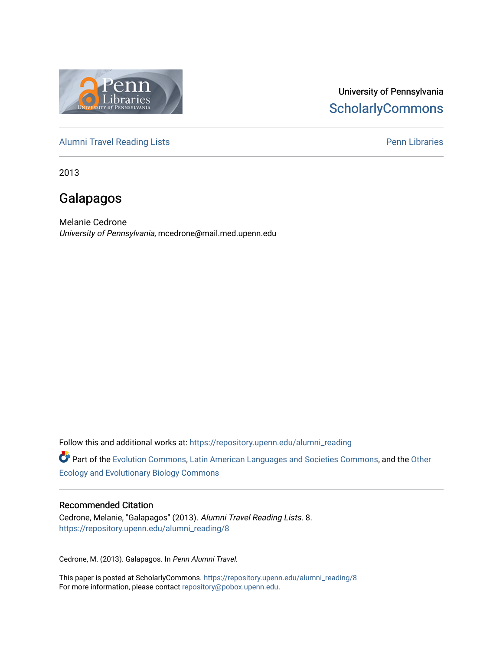

# University of Pennsylvania **ScholarlyCommons**

[Alumni Travel Reading Lists](https://repository.upenn.edu/alumni_reading) **Pennish Containers** [Penn Libraries](https://repository.upenn.edu/library) **Pennish Containers** 

2013

# Galapagos

Melanie Cedrone University of Pennsylvania, mcedrone@mail.med.upenn.edu

Follow this and additional works at: [https://repository.upenn.edu/alumni\\_reading](https://repository.upenn.edu/alumni_reading?utm_source=repository.upenn.edu%2Falumni_reading%2F8&utm_medium=PDF&utm_campaign=PDFCoverPages)

Part of the [Evolution Commons,](http://network.bepress.com/hgg/discipline/18?utm_source=repository.upenn.edu%2Falumni_reading%2F8&utm_medium=PDF&utm_campaign=PDFCoverPages) [Latin American Languages and Societies Commons,](http://network.bepress.com/hgg/discipline/483?utm_source=repository.upenn.edu%2Falumni_reading%2F8&utm_medium=PDF&utm_campaign=PDFCoverPages) and the [Other](http://network.bepress.com/hgg/discipline/21?utm_source=repository.upenn.edu%2Falumni_reading%2F8&utm_medium=PDF&utm_campaign=PDFCoverPages)  [Ecology and Evolutionary Biology Commons](http://network.bepress.com/hgg/discipline/21?utm_source=repository.upenn.edu%2Falumni_reading%2F8&utm_medium=PDF&utm_campaign=PDFCoverPages) 

#### Recommended Citation

Cedrone, Melanie, "Galapagos" (2013). Alumni Travel Reading Lists. 8. [https://repository.upenn.edu/alumni\\_reading/8](https://repository.upenn.edu/alumni_reading/8?utm_source=repository.upenn.edu%2Falumni_reading%2F8&utm_medium=PDF&utm_campaign=PDFCoverPages)

Cedrone, M. (2013). Galapagos. In Penn Alumni Travel.

This paper is posted at ScholarlyCommons. [https://repository.upenn.edu/alumni\\_reading/8](https://repository.upenn.edu/alumni_reading/8)  For more information, please contact [repository@pobox.upenn.edu.](mailto:repository@pobox.upenn.edu)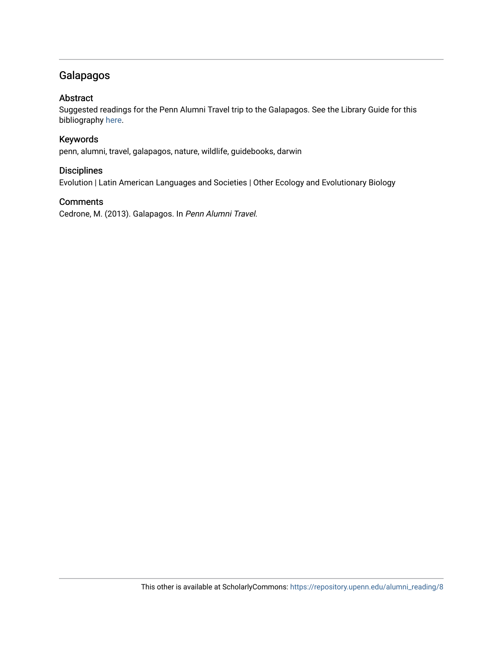# Galapagos

#### Abstract

Suggested readings for the Penn Alumni Travel trip to the Galapagos. See the Library Guide for this bibliography [here](http://guides.library.upenn.edu/aecontent.php?pid=507381&sid=4207883).

#### Keywords

penn, alumni, travel, galapagos, nature, wildlife, guidebooks, darwin

#### **Disciplines**

Evolution | Latin American Languages and Societies | Other Ecology and Evolutionary Biology

#### **Comments**

Cedrone, M. (2013). Galapagos. In Penn Alumni Travel.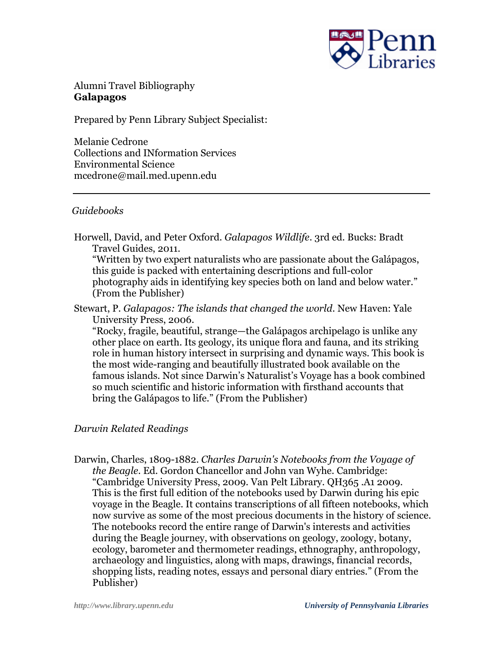

Alumni Travel Bibliography **Galapagos**

Prepared by Penn Library Subject Specialist:

Melanie Cedrone Collections and INformation Services Environmental Science mcedrone@mail.med.upenn.edu

## *Guidebooks*

Horwell, David, and Peter Oxford. *Galapagos Wildlife*. 3rd ed. Bucks: Bradt Travel Guides, 2011.

"Written by two expert naturalists who are passionate about the Galápagos, this guide is packed with entertaining descriptions and full-color photography aids in identifying key species both on land and below water." (From the Publisher)

Stewart, P. *Galapagos: The islands that changed the world*. New Haven: Yale University Press, 2006.

"Rocky, fragile, beautiful, strange—the Galápagos archipelago is unlike any other place on earth. Its geology, its unique flora and fauna, and its striking role in human history intersect in surprising and dynamic ways. This book is the most wide-ranging and beautifully illustrated book available on the famous islands. Not since Darwin's Naturalist's Voyage has a book combined so much scientific and historic information with firsthand accounts that bring the Galápagos to life." (From the Publisher)

## *Darwin Related Readings*

Darwin, Charles, 1809-1882. *Charles Darwin's Notebooks from the Voyage of the Beagle*. Ed. Gordon Chancellor and John van Wyhe. Cambridge: "Cambridge University Press, 2009. Van Pelt Library. QH365 .A1 2009. This is the first full edition of the notebooks used by Darwin during his epic voyage in the Beagle. It contains transcriptions of all fifteen notebooks, which now survive as some of the most precious documents in the history of science. The notebooks record the entire range of Darwin's interests and activities during the Beagle journey, with observations on geology, zoology, botany, ecology, barometer and thermometer readings, ethnography, anthropology, archaeology and linguistics, along with maps, drawings, financial records, shopping lists, reading notes, essays and personal diary entries." (From the Publisher)